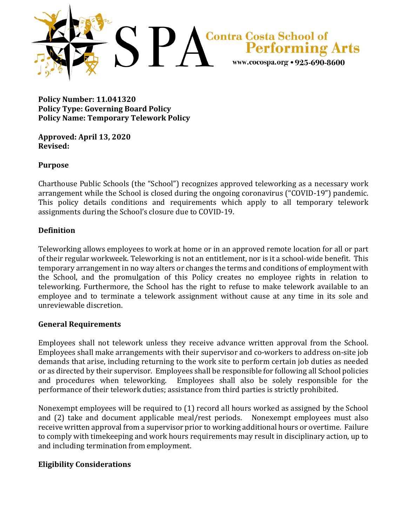

**Policy Number: 11.041320 Policy Type: Governing Board Policy Policy Name: Temporary Telework Policy**

**Approved: April 13, 2020 Revised:** 

#### **Purpose**

Charthouse Public Schools (the "School") recognizes approved teleworking as a necessary work arrangement while the School is closed during the ongoing coronavirus ("COVID-19") pandemic. This policy details conditions and requirements which apply to all temporary telework assignments during the School's closure due to COVID-19.

#### **Definition**

Teleworking allows employees to work at home or in an approved remote location for all or part of their regular workweek. Teleworking is not an entitlement, nor is it a school-wide benefit. This temporary arrangement in no way alters or changes the terms and conditions of employment with the School, and the promulgation of this Policy creates no employee rights in relation to teleworking. Furthermore, the School has the right to refuse to make telework available to an employee and to terminate a telework assignment without cause at any time in its sole and unreviewable discretion.

#### **General Requirements**

Employees shall not telework unless they receive advance written approval from the School. Employees shall make arrangements with their supervisor and co-workers to address on-site job demands that arise, including returning to the work site to perform certain job duties as needed or as directed by their supervisor. Employees shall be responsible for following all School policies and procedures when teleworking. Employees shall also be solely responsible for the performance of their telework duties; assistance from third parties is strictly prohibited.

Nonexempt employees will be required to (1) record all hours worked as assigned by the School and (2) take and document applicable meal/rest periods. Nonexempt employees must also receive written approval from a supervisor prior to working additional hours or overtime. Failure to comply with timekeeping and work hours requirements may result in disciplinary action, up to and including termination from employment.

#### **Eligibility Considerations**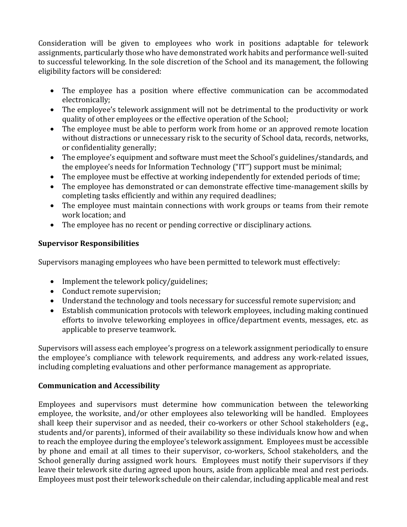Consideration will be given to employees who work in positions adaptable for telework assignments, particularly those who have demonstrated work habits and performance well-suited to successful teleworking. In the sole discretion of the School and its management, the following eligibility factors will be considered:

- The employee has a position where effective communication can be accommodated electronically;
- The employee's telework assignment will not be detrimental to the productivity or work quality of other employees or the effective operation of the School;
- The employee must be able to perform work from home or an approved remote location without distractions or unnecessary risk to the security of School data, records, networks, or confidentiality generally;
- The employee's equipment and software must meet the School's guidelines/standards, and the employee's needs for Information Technology ("IT") support must be minimal;
- The employee must be effective at working independently for extended periods of time;
- The employee has demonstrated or can demonstrate effective time-management skills by completing tasks efficiently and within any required deadlines;
- The employee must maintain connections with work groups or teams from their remote work location; and
- The employee has no recent or pending corrective or disciplinary actions.

# **Supervisor Responsibilities**

Supervisors managing employees who have been permitted to telework must effectively:

- Implement the telework policy/guidelines;
- Conduct remote supervision;
- Understand the technology and tools necessary for successful remote supervision; and
- Establish communication protocols with telework employees, including making continued efforts to involve teleworking employees in office/department events, messages, etc. as applicable to preserve teamwork.

Supervisors will assess each employee's progress on a telework assignment periodically to ensure the employee's compliance with telework requirements, and address any work-related issues, including completing evaluations and other performance management as appropriate.

### **Communication and Accessibility**

Employees and supervisors must determine how communication between the teleworking employee, the worksite, and/or other employees also teleworking will be handled. Employees shall keep their supervisor and as needed, their co-workers or other School stakeholders (e.g., students and/or parents), informed of their availability so these individuals know how and when to reach the employee during the employee's telework assignment. Employees must be accessible by phone and email at all times to their supervisor, co-workers, School stakeholders, and the School generally during assigned work hours. Employees must notify their supervisors if they leave their telework site during agreed upon hours, aside from applicable meal and rest periods. Employees must post their telework schedule on their calendar, including applicable meal and rest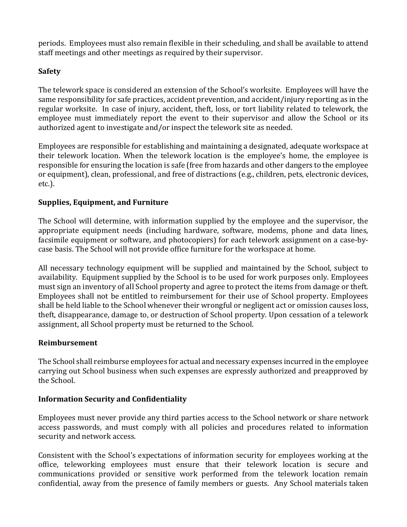periods. Employees must also remain flexible in their scheduling, and shall be available to attend staff meetings and other meetings as required by their supervisor.

#### **Safety**

The telework space is considered an extension of the School's worksite. Employees will have the same responsibility for safe practices, accident prevention, and accident/injury reporting as in the regular worksite. In case of injury, accident, theft, loss, or tort liability related to telework, the employee must immediately report the event to their supervisor and allow the School or its authorized agent to investigate and/or inspect the telework site as needed.

Employees are responsible for establishing and maintaining a designated, adequate workspace at their telework location. When the telework location is the employee's home, the employee is responsible for ensuring the location is safe (free from hazards and other dangers to the employee or equipment), clean, professional, and free of distractions (e.g., children, pets, electronic devices, etc.).

### **Supplies, Equipment, and Furniture**

The School will determine, with information supplied by the employee and the supervisor, the appropriate equipment needs (including hardware, software, modems, phone and data lines, facsimile equipment or software, and photocopiers) for each telework assignment on a case-bycase basis. The School will not provide office furniture for the workspace at home.

All necessary technology equipment will be supplied and maintained by the School, subject to availability. Equipment supplied by the School is to be used for work purposes only. Employees must sign an inventory of all School property and agree to protect the items from damage or theft. Employees shall not be entitled to reimbursement for their use of School property. Employees shall be held liable to the School whenever their wrongful or negligent act or omission causes loss, theft, disappearance, damage to, or destruction of School property. Upon cessation of a telework assignment, all School property must be returned to the School.

#### **Reimbursement**

The School shall reimburse employees for actual and necessary expenses incurred in the employee carrying out School business when such expenses are expressly authorized and preapproved by the School.

### **Information Security and Confidentiality**

Employees must never provide any third parties access to the School network or share network access passwords, and must comply with all policies and procedures related to information security and network access.

Consistent with the School's expectations of information security for employees working at the office, teleworking employees must ensure that their telework location is secure and communications provided or sensitive work performed from the telework location remain confidential, away from the presence of family members or guests. Any School materials taken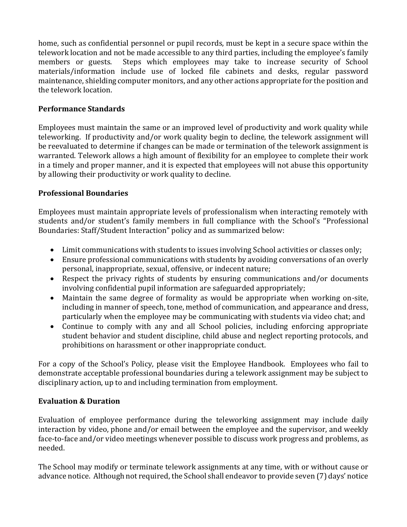home, such as confidential personnel or pupil records, must be kept in a secure space within the telework location and not be made accessible to any third parties, including the employee's family members or guests. Steps which employees may take to increase security of School materials/information include use of locked file cabinets and desks, regular password maintenance, shielding computer monitors, and any other actions appropriate for the position and the telework location.

## **Performance Standards**

Employees must maintain the same or an improved level of productivity and work quality while teleworking. If productivity and/or work quality begin to decline, the telework assignment will be reevaluated to determine if changes can be made or termination of the telework assignment is warranted. Telework allows a high amount of flexibility for an employee to complete their work in a timely and proper manner, and it is expected that employees will not abuse this opportunity by allowing their productivity or work quality to decline.

### **Professional Boundaries**

Employees must maintain appropriate levels of professionalism when interacting remotely with students and/or student's family members in full compliance with the School's "Professional Boundaries: Staff/Student Interaction" policy and as summarized below:

- Limit communications with students to issues involving School activities or classes only;
- Ensure professional communications with students by avoiding conversations of an overly personal, inappropriate, sexual, offensive, or indecent nature;
- Respect the privacy rights of students by ensuring communications and/or documents involving confidential pupil information are safeguarded appropriately;
- Maintain the same degree of formality as would be appropriate when working on-site, including in manner of speech, tone, method of communication, and appearance and dress, particularly when the employee may be communicating with students via video chat; and
- Continue to comply with any and all School policies, including enforcing appropriate student behavior and student discipline, child abuse and neglect reporting protocols, and prohibitions on harassment or other inappropriate conduct.

For a copy of the School's Policy, please visit the Employee Handbook. Employees who fail to demonstrate acceptable professional boundaries during a telework assignment may be subject to disciplinary action, up to and including termination from employment.

### **Evaluation & Duration**

Evaluation of employee performance during the teleworking assignment may include daily interaction by video, phone and/or email between the employee and the supervisor, and weekly face-to-face and/or video meetings whenever possible to discuss work progress and problems, as needed.

The School may modify or terminate telework assignments at any time, with or without cause or advance notice. Although not required, the School shall endeavor to provide seven (7) days' notice